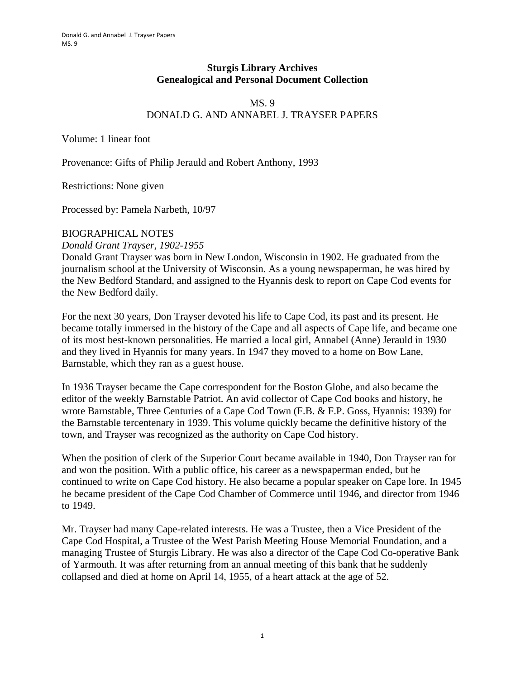## **Sturgis Library Archives Genealogical and Personal Document Collection**

# MS. 9 DONALD G. AND ANNABEL J. TRAYSER PAPERS

Volume: 1 linear foot

Provenance: Gifts of Philip Jerauld and Robert Anthony, 1993

Restrictions: None given

Processed by: Pamela Narbeth, 10/97

#### BIOGRAPHICAL NOTES

*Donald Grant Trayser, 1902-1955* 

Donald Grant Trayser was born in New London, Wisconsin in 1902. He graduated from the journalism school at the University of Wisconsin. As a young newspaperman, he was hired by the New Bedford Standard, and assigned to the Hyannis desk to report on Cape Cod events for the New Bedford daily.

For the next 30 years, Don Trayser devoted his life to Cape Cod, its past and its present. He became totally immersed in the history of the Cape and all aspects of Cape life, and became one of its most best-known personalities. He married a local girl, Annabel (Anne) Jerauld in 1930 and they lived in Hyannis for many years. In 1947 they moved to a home on Bow Lane, Barnstable, which they ran as a guest house.

In 1936 Trayser became the Cape correspondent for the Boston Globe, and also became the editor of the weekly Barnstable Patriot. An avid collector of Cape Cod books and history, he wrote Barnstable, Three Centuries of a Cape Cod Town (F.B. & F.P. Goss, Hyannis: 1939) for the Barnstable tercentenary in 1939. This volume quickly became the definitive history of the town, and Trayser was recognized as the authority on Cape Cod history.

When the position of clerk of the Superior Court became available in 1940, Don Trayser ran for and won the position. With a public office, his career as a newspaperman ended, but he continued to write on Cape Cod history. He also became a popular speaker on Cape lore. In 1945 he became president of the Cape Cod Chamber of Commerce until 1946, and director from 1946 to 1949.

Mr. Trayser had many Cape-related interests. He was a Trustee, then a Vice President of the Cape Cod Hospital, a Trustee of the West Parish Meeting House Memorial Foundation, and a managing Trustee of Sturgis Library. He was also a director of the Cape Cod Co-operative Bank of Yarmouth. It was after returning from an annual meeting of this bank that he suddenly collapsed and died at home on April 14, 1955, of a heart attack at the age of 52.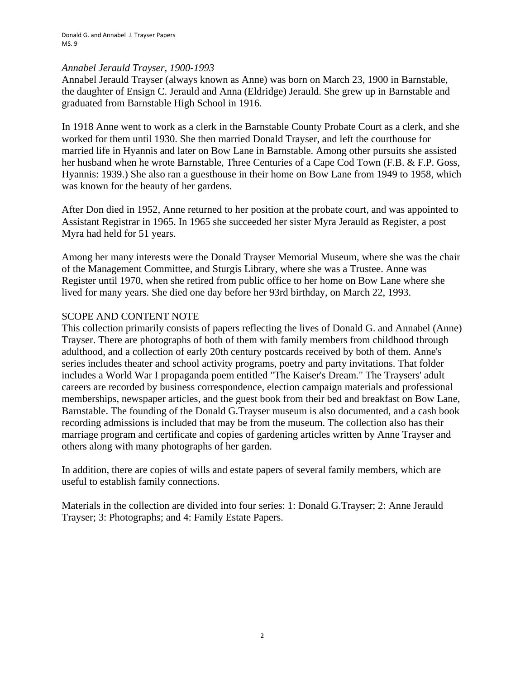#### *Annabel Jerauld Trayser, 1900-1993*

Annabel Jerauld Trayser (always known as Anne) was born on March 23, 1900 in Barnstable, the daughter of Ensign C. Jerauld and Anna (Eldridge) Jerauld. She grew up in Barnstable and graduated from Barnstable High School in 1916.

In 1918 Anne went to work as a clerk in the Barnstable County Probate Court as a clerk, and she worked for them until 1930. She then married Donald Trayser, and left the courthouse for married life in Hyannis and later on Bow Lane in Barnstable. Among other pursuits she assisted her husband when he wrote Barnstable, Three Centuries of a Cape Cod Town (F.B. & F.P. Goss, Hyannis: 1939.) She also ran a guesthouse in their home on Bow Lane from 1949 to 1958, which was known for the beauty of her gardens.

After Don died in 1952, Anne returned to her position at the probate court, and was appointed to Assistant Registrar in 1965. In 1965 she succeeded her sister Myra Jerauld as Register, a post Myra had held for 51 years.

Among her many interests were the Donald Trayser Memorial Museum, where she was the chair of the Management Committee, and Sturgis Library, where she was a Trustee. Anne was Register until 1970, when she retired from public office to her home on Bow Lane where she lived for many years. She died one day before her 93rd birthday, on March 22, 1993.

#### SCOPE AND CONTENT NOTE

This collection primarily consists of papers reflecting the lives of Donald G. and Annabel (Anne) Trayser. There are photographs of both of them with family members from childhood through adulthood, and a collection of early 20th century postcards received by both of them. Anne's series includes theater and school activity programs, poetry and party invitations. That folder includes a World War I propaganda poem entitled "The Kaiser's Dream." The Traysers' adult careers are recorded by business correspondence, election campaign materials and professional memberships, newspaper articles, and the guest book from their bed and breakfast on Bow Lane, Barnstable. The founding of the Donald G.Trayser museum is also documented, and a cash book recording admissions is included that may be from the museum. The collection also has their marriage program and certificate and copies of gardening articles written by Anne Trayser and others along with many photographs of her garden.

In addition, there are copies of wills and estate papers of several family members, which are useful to establish family connections.

Materials in the collection are divided into four series: 1: Donald G.Trayser; 2: Anne Jerauld Trayser; 3: Photographs; and 4: Family Estate Papers.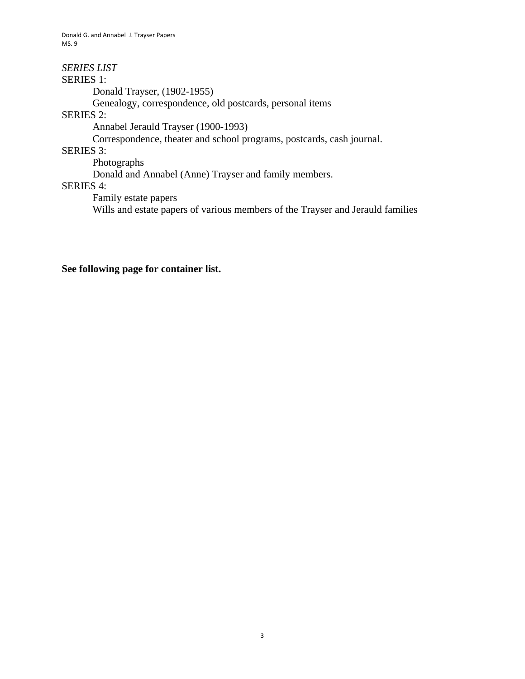Donald G. and Annabel J. Trayser Papers MS. 9

*SERIES LIST*  SERIES 1: Donald Trayser, (1902-1955) Genealogy, correspondence, old postcards, personal items SERIES 2: Annabel Jerauld Trayser (1900-1993) Correspondence, theater and school programs, postcards, cash journal. SERIES 3: Photographs Donald and Annabel (Anne) Trayser and family members. SERIES 4: Family estate papers

Wills and estate papers of various members of the Trayser and Jerauld families

## **See following page for container list.**